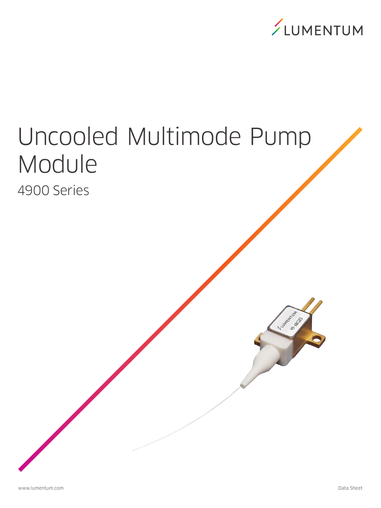

HS. ABCASS M -Tubunetan

# Uncooled Multimode Pump Module 4900 Series

www.lumentum.com Data Sheet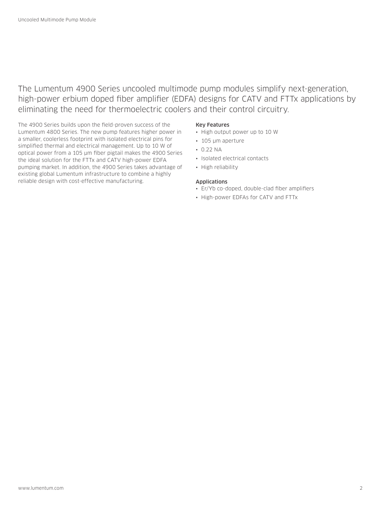# The Lumentum 4900 Series uncooled multimode pump modules simplify next-generation, high-power erbium doped fiber amplifier (EDFA) designs for CATV and FTTx applications by eliminating the need for thermoelectric coolers and their control circuitry.

The 4900 Series builds upon the field-proven success of the Lumentum 4800 Series. The new pump features higher power in a smaller, coolerless footprint with isolated electrical pins for simplified thermal and electrical management. Up to 10 W of optical power from a 105 µm fiber pigtail makes the 4900 Series the ideal solution for the FTTx and CATV high-power EDFA pumping market. In addition, the 4900 Series takes advantage of existing global Lumentum infrastructure to combine a highly reliable design with cost-effective manufacturing.

#### Key Features

- High output power up to 10 W
- 105 µm aperture
- $\cdot$  0.22 NA
- Isolated electrical contacts
- High reliability

# Applications

- Er/Yb co-doped, double-clad fiber amplifiers
- High-power EDFAs for CATV and FTTx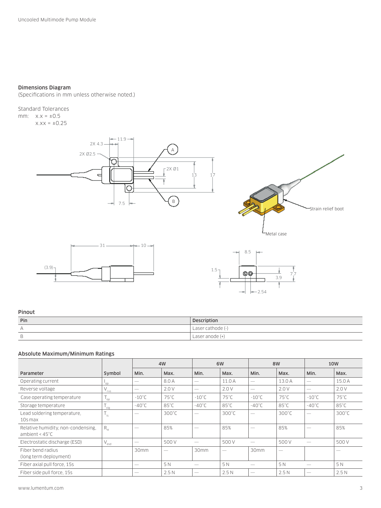# Dimensions Diagram

(Specifications in mm unless otherwise noted.)

Standard Tolerances mm:  $x.x = \pm 0.5$ 

 $x.x = ±0.25$ 







#### Pinout

| Pin                           | Description     |
|-------------------------------|-----------------|
| $\Delta$                      | Laser cathode ( |
| $\overline{\phantom{a}}$<br>R | Laser anode (   |

### Absolute Maximum/Minimum Ratings

|                                                                |                  | 4W              |                 | 6W              |                 | 8W                       |                 | <b>10W</b>      |                 |
|----------------------------------------------------------------|------------------|-----------------|-----------------|-----------------|-----------------|--------------------------|-----------------|-----------------|-----------------|
| Parameter                                                      | Symbol           | Min.            | Max.            | Min.            | Max.            | Min.                     | Max.            | Min.            | Max.            |
| Operating current                                              | oo'              |                 | 8.0 A           |                 | 11.0 A          |                          | 13.0 A          |                 | 15.0 A          |
| Reverse voltage                                                | $V_{\text{rvs}}$ |                 | 2.0V            |                 | 2.0V            |                          | 2.0V            |                 | 2.0V            |
| Case operating temperature                                     | $^1$ op          | $-10^{\circ}$ C | $75^{\circ}$ C  | $-10^{\circ}$ C | $75^{\circ}$ C  | $-10^{\circ}$ C          | 75°C            | $-10^{\circ}$ C | 75°C            |
| Storage temperature                                            | stg              | $-40^{\circ}$ C | $85^{\circ}$ C  | $-40^{\circ}$ C | $85^{\circ}$ C  | $-40^{\circ}$ C          | $85^{\circ}$ C  | $-40^{\circ}$ C | $85^{\circ}$ C  |
| Lead soldering temperature,<br>10s max                         | $\frac{1}{3}$    |                 | $300^{\circ}$ C |                 | $300^{\circ}$ C |                          | $300^{\circ}$ C |                 | $300^{\circ}$ C |
| Relative humidity, non-condensing,<br>ambient $< 45^{\circ}$ C | $R_{\rm H}$      |                 | 85%             |                 | 85%             |                          | 85%             |                 | 85%             |
| Electrostatic discharge (ESD)                                  | $V_{\text{esd}}$ |                 | 500 V           |                 | 500V            |                          | 500 V           |                 | 500 V           |
| Fiber bend radius<br>(long term deployment)                    |                  | 30mm            |                 | 30mm            |                 | 30mm                     |                 |                 |                 |
| Fiber axial pull force, 15s                                    |                  |                 | 5 N             |                 | 5 N             | $\overline{\phantom{a}}$ | 5 N             |                 | 5 N             |
| Fiber side pull force, 15s                                     |                  |                 | 2.5N            |                 | 2.5N            |                          | 2.5N            |                 | 2.5N            |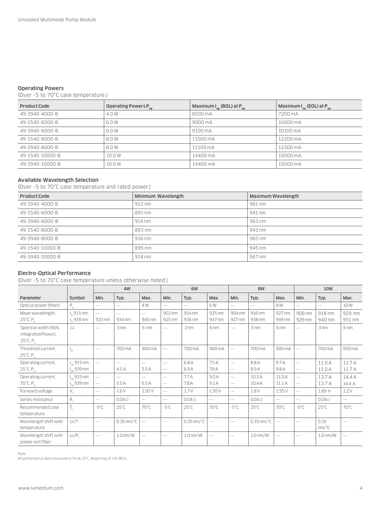### Operating Powers

(Over -5 to 70°C case temperature.)

| Product Code    | Operating Powers P <sub>op</sub> | Maximum I <sub>on</sub> (BOL) at P <sub>on</sub> | Maximum $I_{on}$ (EOL) at $P_{on}$ |
|-----------------|----------------------------------|--------------------------------------------------|------------------------------------|
| 49-3940-4000-B  | 4.0 W                            | 6500 mA                                          | 7200 mA                            |
| 49-1540-6000-B  | 6.0W                             | 9000 mA                                          | 10000 mA                           |
| 49-3940-6000-B  | 6.0W                             | 9100 mA                                          | 10100 mA                           |
| 49-1540-8000-B  | 8.0W                             | 11000 mA                                         | 12200 mA                           |
| 49-3940-8000-B  | 8.0W                             | 11100 mA                                         | 12300 mA                           |
| 49-1540-10000-B | 10.0 W                           | 14400 mA                                         | 15000 mA                           |
| 49-3940-10000-B | 10.0 W                           | 14400 mA                                         | 15000 mA                           |

### Available Wavelength Selection

(Over -5 to 70°C case temperature and rated power.)

| Product Code    | Minimum Wavelength | Maximum Wavelength |
|-----------------|--------------------|--------------------|
| 49-3940-4000-B  | $912 \text{ nm}$   | 961 nm             |
| 49-1540-6000-B  | 891 nm             | 941 nm             |
| 49-3940-6000-B  | $914 \text{ nm}$   | 963 nm             |
| 49-1540-8000-B  | 893 nm             | 943 nm             |
| 49-3940-8000-B  | 916 nm             | 965 nm             |
| 49-1540-10000-B | 895 nm             | 945 nm             |
| 49-3940-10000-B | 918 nm             | 967 nm             |

# Electro-Optical Performance

(Over -5 to 70°C case temperature unless otherwise noted.)

|                                                                             |                                          |                          | 4W                                 |                                    | 6W                              |                          | <b>8W</b>                |                                 |                          | <b>10W</b>                                                                                                                                                                                                                                                                                                                                                                                    |                          |                                               |                          |
|-----------------------------------------------------------------------------|------------------------------------------|--------------------------|------------------------------------|------------------------------------|---------------------------------|--------------------------|--------------------------|---------------------------------|--------------------------|-----------------------------------------------------------------------------------------------------------------------------------------------------------------------------------------------------------------------------------------------------------------------------------------------------------------------------------------------------------------------------------------------|--------------------------|-----------------------------------------------|--------------------------|
| Parameter                                                                   | Symbol                                   | Min.                     | Typ.                               | Max.                               | Min.                            | Typ.                     | Max.                     | Min.                            | Typ.                     | Max.                                                                                                                                                                                                                                                                                                                                                                                          | Min.                     | Typ.                                          | Max.                     |
| Optical power (fiber)                                                       | $P_{o}$                                  | $\overline{\phantom{0}}$ | $\overline{\phantom{0}}$           | 4 W                                | $\frac{1}{2}$                   | $\overline{\phantom{m}}$ | 6W                       | $\overline{\phantom{0}}$        | $\overline{\phantom{a}}$ | 8 W                                                                                                                                                                                                                                                                                                                                                                                           | $\overline{\phantom{0}}$ | $\overline{\phantom{0}}$                      | 10W                      |
| Mean wavelength,<br>$25^{\circ}$ C, P <sub>o</sub>                          | $\lambda$ , 915 nm<br>$\lambda$ , 939 nm | 923 nm                   | $\overline{\phantom{a}}$<br>934 nm | $\overline{\phantom{0}}$<br>945 nm | 902 nm<br>925 nm                | 914 nm<br>936 nm         | 925 nm<br>947 nm         | 904 nm<br>927 nm                | 916 nm<br>938 nm         | 927 nm<br>949 nm                                                                                                                                                                                                                                                                                                                                                                              | 906 nm<br>929 nm         | 918 nm<br>940 nm                              | 929 nm<br>951 nm         |
| Spectral width (90%<br>integrated Power).<br>$25^{\circ}$ C, P <sub>o</sub> | Δλ                                       |                          | 3 <sub>nm</sub>                    | 6 nm                               | $\overline{\phantom{0}}$        | 3 <sub>nm</sub>          | 6 <sub>nm</sub>          | $\hspace{0.1mm}-\hspace{0.1mm}$ | 3 <sub>nm</sub>          | 6 <sub>nm</sub>                                                                                                                                                                                                                                                                                                                                                                               |                          | 3 nm                                          | 6 <sub>nm</sub>          |
| Threshold current.<br>$25^{\circ}$ C, P <sub>n</sub>                        | I <sub>н</sub>                           | $\overline{\phantom{0}}$ | 700 mA                             | 900 mA                             | $\overline{\phantom{0}}$        | 700 mA                   | 900 mA                   | $\overline{\phantom{0}}$        | 700 mA                   | 900 mA                                                                                                                                                                                                                                                                                                                                                                                        | $\overline{\phantom{0}}$ | 700 mA                                        | 950 mA                   |
| Operating current,                                                          | $I_{on}$ 915 nm                          | $\overline{\phantom{0}}$ |                                    | $\overline{\phantom{0}}$           | $\hspace{0.1mm}-\hspace{0.1mm}$ | 6.8A                     | 7.5A                     | $\overline{\phantom{0}}$        | 8.8 A                    | 9.7A                                                                                                                                                                                                                                                                                                                                                                                          | $\overline{\phantom{0}}$ | 11.0 A                                        | 11.7 A                   |
| $25^{\circ}$ C, P <sub>n</sub>                                              | $I_{\text{on}}$ 939 nm                   |                          | 4.5A                               | 5.5A                               | $\overline{\phantom{m}}$        | 6.9A                     | 7.6A                     | $\qquad \qquad$                 | 8.9A                     | 9.8A                                                                                                                                                                                                                                                                                                                                                                                          |                          | 11.0 A                                        | 11.7 A                   |
| Operating current,                                                          | $I_{on}$ 915 nm                          | $\overline{\phantom{0}}$ | $\overline{\phantom{0}}$           | $\overline{\phantom{m}}$           | $\hspace{0.1mm}-\hspace{0.1mm}$ | 7.7A                     | 9.0A                     | $\overline{\phantom{0}}$        | 10.3A                    | 11.0A                                                                                                                                                                                                                                                                                                                                                                                         | $\overline{\phantom{0}}$ | 13.7 A                                        | 14.4 A                   |
| $70^{\circ}$ C, P <sub>a</sub>                                              | $I_{op}$ 939 nm                          | $\overline{\phantom{0}}$ | 5.5A                               | 6.5 A                              | $\overline{\phantom{m}}$        | 7.8 A                    | 9.1A                     | $\overline{\phantom{m}}$        | 10.4A                    | 11.1A                                                                                                                                                                                                                                                                                                                                                                                         | $\overline{\phantom{0}}$ | 13.7 A                                        | 14.4 A                   |
| Forward voltage                                                             | $V_{\epsilon}$                           | $\overline{\phantom{0}}$ | 1.6V                               | 1.95 V                             |                                 | 1.7V                     | 1.95 V                   |                                 | 1.8 V                    | 1.95 V                                                                                                                                                                                                                                                                                                                                                                                        | $\overline{\phantom{0}}$ | 1.89 V                                        | 2.2V                     |
| Series resistance                                                           | $R_{\rm s}$                              |                          | $0.04\Omega$                       |                                    | $\overline{\phantom{0}}$        | $0.04\Omega$             |                          | $\overline{\phantom{0}}$        | $0.04\Omega$             |                                                                                                                                                                                                                                                                                                                                                                                               | $\overline{\phantom{m}}$ | $0.04\Omega$                                  | $\overline{\phantom{0}}$ |
| Recommended case<br>temperature                                             | $T_c$                                    | $-5^{\circ}$ C           | $25^{\circ}$ C                     | 70°C                               | $-5^{\circ}$ C                  | $25^{\circ}$ C           | $70^{\circ}$ C           | $-5^{\circ}$ C                  | $25^{\circ}$ C           | 70°C                                                                                                                                                                                                                                                                                                                                                                                          | $-5^{\circ}$ C           | $25^{\circ}$ C                                | 70°C                     |
| Wavelength shift with<br>temperature                                        | $\triangle\lambda/T$                     | $\overline{\phantom{0}}$ | $0.35$ nm/ $°C$                    |                                    | $\overline{\phantom{m}}$        | $0.35$ nm/ $°C$          |                          | $\overline{\phantom{0}}$        | $0.35$ nm/ $°C$          | $\hspace{1.0cm} \overline{\hspace{1.0cm} \hspace{1.0cm} \hspace{1.0cm} } \hspace{1.0cm} \hspace{1.0cm} \overline{\hspace{1.0cm} \hspace{1.0cm} \hspace{1.0cm} } \hspace{1.0cm} \hspace{1.0cm} \overline{\hspace{1.0cm} \hspace{1.0cm} \hspace{1.0cm} } \hspace{1.0cm} \hspace{1.0cm} \overline{\hspace{1.0cm} \hspace{1.0cm} \hspace{1.0cm} } \hspace{1.0cm} \hspace{1.0cm} \hspace{1.0cm} }$ | $\overline{\phantom{0}}$ | 0.35<br>$nm$ <sup><math>\degree</math>C</sup> |                          |
| Wavelength shift with<br>power exit fiber                                   | $\Delta \lambda / P_{f}$                 | $\overline{\phantom{0}}$ | 1.0 <sub>nm</sub> /W               | $\overline{\phantom{m}}$           | $\hspace{0.1mm}-\hspace{0.1mm}$ | 1.0 <sub>nm</sub> /W     | $\overline{\phantom{0}}$ | $\qquad \qquad$                 | 1.0 <sub>nm</sub> /W     | $\overline{\phantom{m}}$                                                                                                                                                                                                                                                                                                                                                                      | $\qquad \qquad$          | 1.0 <sub>nm</sub> /W                          |                          |

Note: All performance data measured at Po W, 25°C, Beginning of Life (BOL)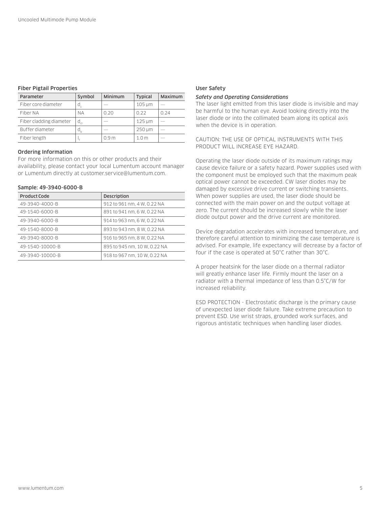#### Fiber Pigtail Properties

| Parameter               | Symbol | Minimum          | <b>Typical</b> | Maximum |
|-------------------------|--------|------------------|----------------|---------|
| Fiber core diameter     | a      |                  | $105 \mu m$    |         |
| Fiber NA                | NА     | 0.20             | 0.22           | 0.24    |
| Fiber cladding diameter | d,     |                  | 125 um         |         |
| Buffer diameter         |        |                  | 250 um         |         |
| Fiber length            |        | 0.9 <sub>m</sub> | 10m            |         |

# Ordering Information

For more information on this or other products and their availability, please contact your local Lumentum account manager or Lumentum directly at customer.service@lumentum.com.

# Sample: 49-3940-6000-B

| <b>Product Code</b> | <b>Description</b>           |
|---------------------|------------------------------|
| 49-3940-4000-B      | 912 to 961 nm, 4 W, 0.22 NA  |
| 49-1540-6000-B      | 891 to 941 nm, 6 W, 0.22 NA  |
| 49-3940-6000-B      | 914 to 963 nm, 6 W, 0.22 NA  |
| 49-1540-8000-B      | 893 to 943 nm, 8 W, 0.22 NA  |
| 49-3940-8000-B      | 916 to 965 nm, 8 W, 0.22 NA  |
| 49-1540-10000-B     | 895 to 945 nm, 10 W, 0.22 NA |
| 49-3940-10000-B     | 918 to 967 nm, 10 W, 0.22 NA |

#### User Safety

#### *Safety and Operating Considerations*

The laser light emitted from this laser diode is invisible and may be harmful to the human eye. Avoid looking directly into the laser diode or into the collimated beam along its optical axis when the device is in operation.

CAUTION: THE USE OF OPTICAL INSTRUMENTS WITH THIS PRODUCT WILL INCREASE EYE HAZARD.

Operating the laser diode outside of its maximum ratings may cause device failure or a safety hazard. Power supplies used with the component must be employed such that the maximum peak optical power cannot be exceeded. CW laser diodes may be damaged by excessive drive current or switching transients. When power supplies are used, the laser diode should be connected with the main power on and the output voltage at zero. The current should be increased slowly while the laser diode output power and the drive current are monitored.

Device degradation accelerates with increased temperature, and therefore careful attention to minimizing the case temperature is advised. For example, life expectancy will decrease by a factor of four if the case is operated at 50°C rather than 30°C.

A proper heatsink for the laser diode on a thermal radiator will greatly enhance laser life. Firmly mount the laser on a radiator with a thermal impedance of less than 0.5°C/W for increased reliability.

ESD PROTECTION - Electrostatic discharge is the primary cause of unexpected laser diode failure. Take extreme precaution to prevent ESD. Use wrist straps, grounded work surfaces, and rigorous antistatic techniques when handling laser diodes.